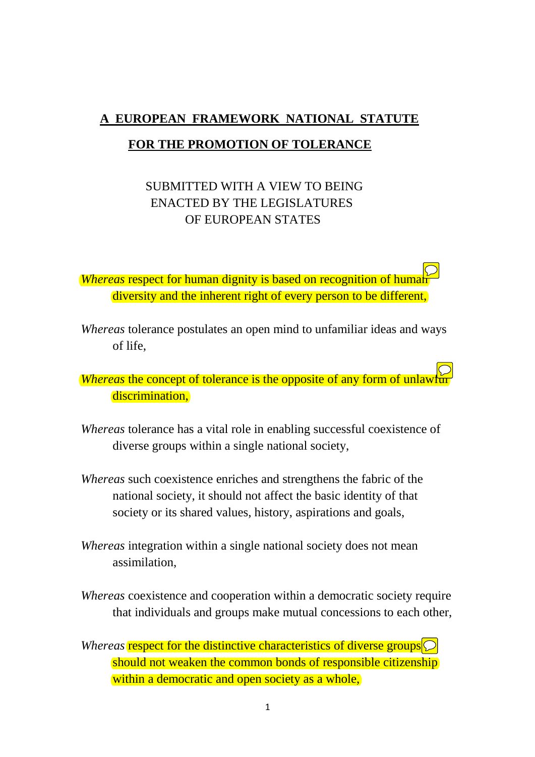# **A EUROPEAN FRAMEWORK NATIONAL STATUTE FOR THE PROMOTION OF TOLERANCE**

# SUBMITTED WITH A VIEW TO BEING ENACTED BY THE LEGISLATURES OF EUROPEAN STATES

*<u>Whereas respect for human dignity is based on recognition of human*</u> diversity and the inherent right of every person to be different,

*Whereas* tolerance postulates an open mind to unfamiliar ideas and ways of life,

*<u>Whereas</u>* the concept of tolerance is the opposite of any form of unlawful discrimination,

- *Whereas* tolerance has a vital role in enabling successful coexistence of diverse groups within a single national society,
- *Whereas* such coexistence enriches and strengthens the fabric of the national society, it should not affect the basic identity of that society or its shared values, history, aspirations and goals,
- *Whereas* integration within a single national society does not mean assimilation,
- *Whereas* coexistence and cooperation within a democratic society require that individuals and groups make mutual concessions to each other,
- *Whereas* respect for the distinctive characteristics of diverse groups  $\bigcirc$ should not weaken the common bonds of responsible citizenship within a democratic and open society as a whole,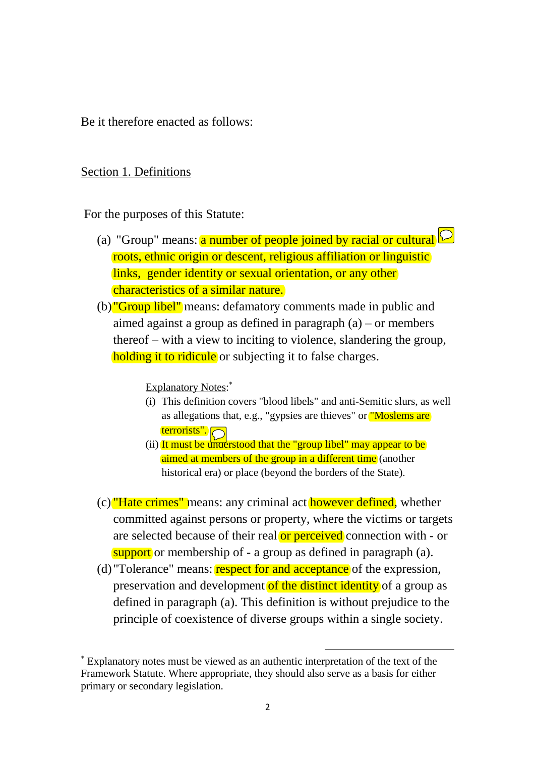Be it therefore enacted as follows:

#### Section 1. Definitions

For the purposes of this Statute:

- (a) "Group" means: **a number of people joined by racial or cultural**  $\oslash$ roots, ethnic origin or descent, religious affiliation or linguistic links, gender identity or sexual orientation, or any other characteristics of a similar nature.
- (b) "Group libel" means: defamatory comments made in public and aimed against a group as defined in paragraph (a) – or members thereof – with a view to inciting to violence, slandering the group, holding it to ridicule or subjecting it to false charges.

Explanatory Notes:<sup>\*</sup>

- (i) This definition covers "blood libels" and anti-Semitic slurs, as well as allegations that, e.g., "gypsies are thieves" or "Moslems are terrorists".
- (ii) It must be understood that the "group libel" may appear to be aimed at members of the group in a different time (another historical era) or place (beyond the borders of the State).
- (c) "Hate crimes" means: any criminal act however defined, whether committed against persons or property, where the victims or targets are selected because of their real or perceived connection with - or support or membership of - a group as defined in paragraph (a).
- (d) "Tolerance" means: respect for and acceptance of the expression, preservation and development of the distinct identity of a group as defined in paragraph (a). This definition is without prejudice to the principle of coexistence of diverse groups within a single society.

 $\overline{a}$ 

Explanatory notes must be viewed as an authentic interpretation of the text of the Framework Statute. Where appropriate, they should also serve as a basis for either primary or secondary legislation.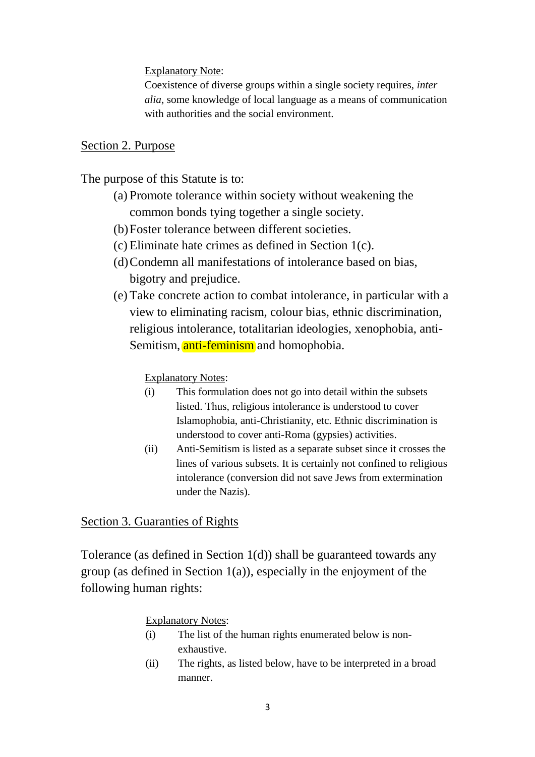Explanatory Note:

Coexistence of diverse groups within a single society requires, *inter alia*, some knowledge of local language as a means of communication with authorities and the social environment.

## Section 2. Purpose

The purpose of this Statute is to:

- (a) Promote tolerance within society without weakening the common bonds tying together a single society.
- (b)Foster tolerance between different societies.
- (c) Eliminate hate crimes as defined in Section 1(c).
- (d)Condemn all manifestations of intolerance based on bias, bigotry and prejudice.
- (e) Take concrete action to combat intolerance, in particular with a view to eliminating racism, colour bias, ethnic discrimination, religious intolerance, totalitarian ideologies, xenophobia, anti-Semitism, anti-feminism and homophobia.

Explanatory Notes:

- (i) This formulation does not go into detail within the subsets listed. Thus, religious intolerance is understood to cover Islamophobia, anti-Christianity, etc. Ethnic discrimination is understood to cover anti-Roma (gypsies) activities.
- (ii) Anti-Semitism is listed as a separate subset since it crosses the lines of various subsets. It is certainly not confined to religious intolerance (conversion did not save Jews from extermination under the Nazis).

Section 3. Guaranties of Rights

Tolerance (as defined in Section 1(d)) shall be guaranteed towards any group (as defined in Section 1(a)), especially in the enjoyment of the following human rights:

Explanatory Notes:

- (i) The list of the human rights enumerated below is nonexhaustive.
- (ii) The rights, as listed below, have to be interpreted in a broad manner.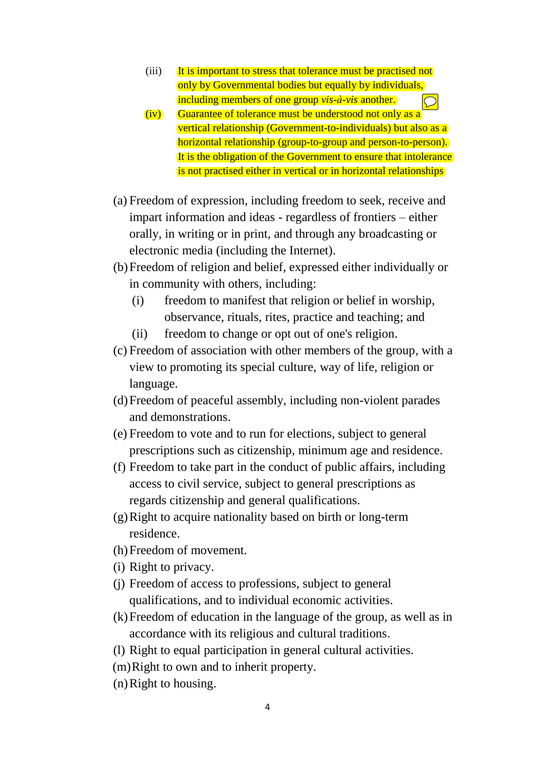- (iii) It is important to stress that tolerance must be practised not only by Governmental bodies but equally by individuals, including members of one group *vis-à-vis* another.  $\bigcirc$
- (iv) Guarantee of tolerance must be understood not only as a vertical relationship (Government-to-individuals) but also as a horizontal relationship (group-to-group and person-to-person). It is the obligation of the Government to ensure that intolerance is not practised either in vertical or in horizontal relationships
- (a) Freedom of expression, including freedom to seek, receive and impart information and ideas - regardless of frontiers – either orally, in writing or in print, and through any broadcasting or electronic media (including the Internet).
- (b)Freedom of religion and belief, expressed either individually or in community with others, including:
	- (i) freedom to manifest that religion or belief in worship, observance, rituals, rites, practice and teaching; and
	- (ii) freedom to change or opt out of one's religion.
- (c) Freedom of association with other members of the group, with a view to promoting its special culture, way of life, religion or language.
- (d)Freedom of peaceful assembly, including non-violent parades and demonstrations.
- (e) Freedom to vote and to run for elections, subject to general prescriptions such as citizenship, minimum age and residence.
- (f) Freedom to take part in the conduct of public affairs, including access to civil service, subject to general prescriptions as regards citizenship and general qualifications.
- (g)Right to acquire nationality based on birth or long-term residence.
- (h)Freedom of movement.
- (i) Right to privacy.
- (j) Freedom of access to professions, subject to general qualifications, and to individual economic activities.
- (k)Freedom of education in the language of the group, as well as in accordance with its religious and cultural traditions.
- (l) Right to equal participation in general cultural activities.
- (m)Right to own and to inherit property.
- (n)Right to housing.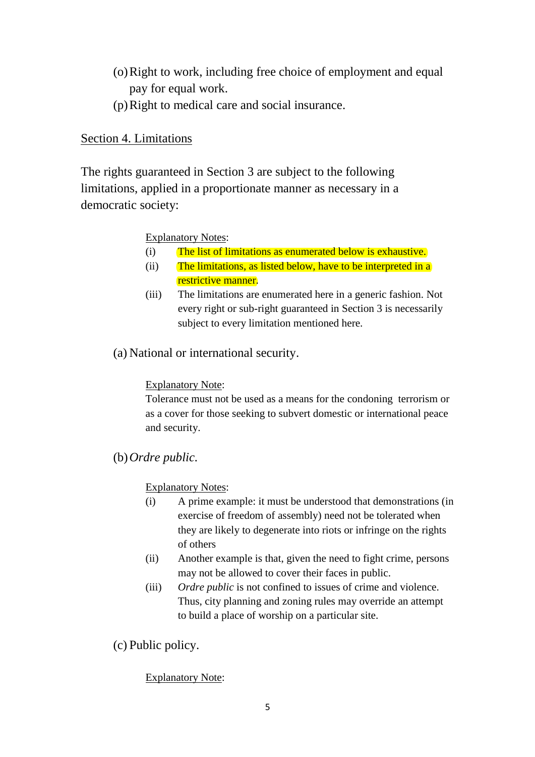- (o)Right to work, including free choice of employment and equal pay for equal work.
- (p)Right to medical care and social insurance.

# Section 4. Limitations

The rights guaranteed in Section 3 are subject to the following limitations, applied in a proportionate manner as necessary in a democratic society:

## Explanatory Notes:

- (i) The list of limitations as enumerated below is exhaustive.
- (ii) The limitations, as listed below, have to be interpreted in a restrictive manner.
- (iii) The limitations are enumerated here in a generic fashion. Not every right or sub-right guaranteed in Section 3 is necessarily subject to every limitation mentioned here.
- (a) National or international security.

## Explanatory Note:

Tolerance must not be used as a means for the condoning terrorism or as a cover for those seeking to subvert domestic or international peace and security.

(b)*Ordre public.*

Explanatory Notes:

- (i) A prime example: it must be understood that demonstrations (in exercise of freedom of assembly) need not be tolerated when they are likely to degenerate into riots or infringe on the rights of others
- (ii) Another example is that, given the need to fight crime, persons may not be allowed to cover their faces in public.
- (iii) *Ordre public* is not confined to issues of crime and violence. Thus, city planning and zoning rules may override an attempt to build a place of worship on a particular site.

(c) Public policy.

## Explanatory Note: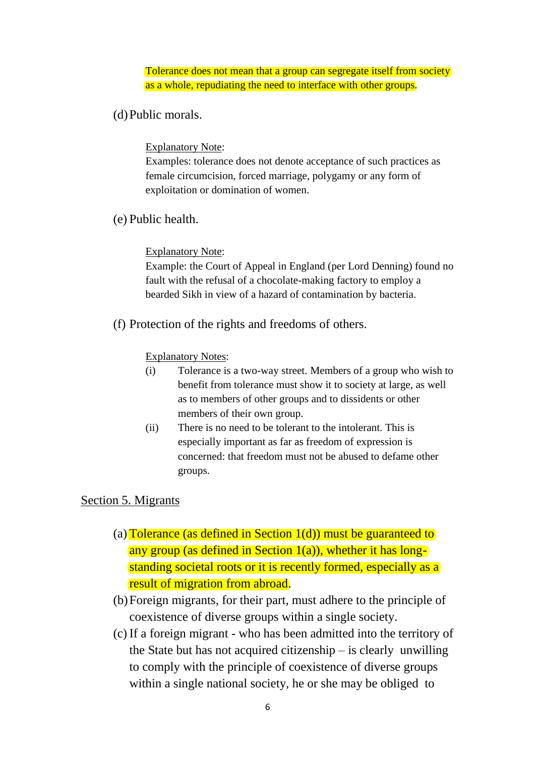#### Tolerance does not mean that a group can segregate itself from society as a whole, repudiating the need to interface with other groups.

## (d)Public morals.

Explanatory Note:

Examples: tolerance does not denote acceptance of such practices as female circumcision, forced marriage, polygamy or any form of exploitation or domination of women.

(e) Public health.

#### Explanatory Note:

Example: the Court of Appeal in England (per Lord Denning) found no fault with the refusal of a chocolate-making factory to employ a bearded Sikh in view of a hazard of contamination by bacteria.

(f) Protection of the rights and freedoms of others.

#### **Explanatory Notes:**

- (i) Tolerance is a two-way street. Members of a group who wish to benefit from tolerance must show it to society at large, as well as to members of other groups and to dissidents or other members of their own group.
- (ii) There is no need to be tolerant to the intolerant. This is especially important as far as freedom of expression is concerned: that freedom must not be abused to defame other groups.

## Section 5. Migrants

- (a) Tolerance (as defined in Section  $1(d)$ ) must be guaranteed to any group (as defined in Section  $1(a)$ ), whether it has longstanding societal roots or it is recently formed, especially as a result of migration from abroad.
- (b)Foreign migrants, for their part, must adhere to the principle of coexistence of diverse groups within a single society.
- (c) If a foreign migrant who has been admitted into the territory of the State but has not acquired citizenship – is clearly unwilling to comply with the principle of coexistence of diverse groups within a single national society, he or she may be obliged to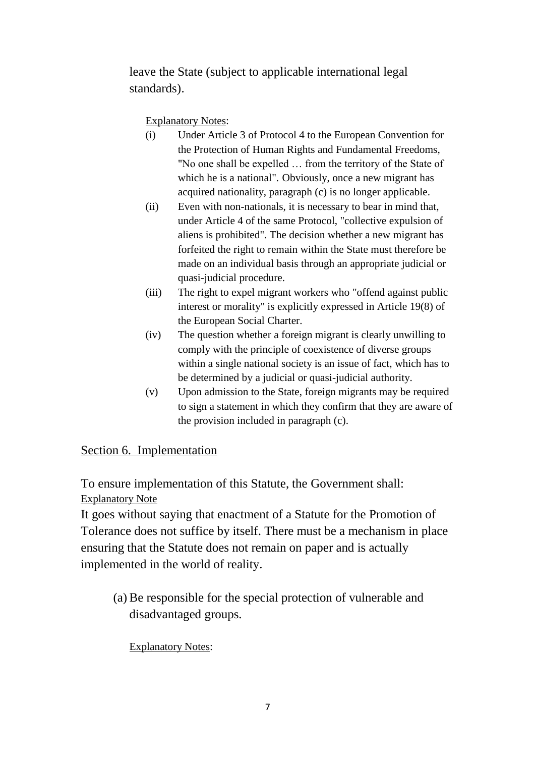leave the State (subject to applicable international legal standards).

Explanatory Notes:

- (i) Under Article 3 of Protocol 4 to the European Convention for the Protection of Human Rights and Fundamental Freedoms, "No one shall be expelled … from the territory of the State of which he is a national". Obviously, once a new migrant has acquired nationality, paragraph (c) is no longer applicable.
- (ii) Even with non-nationals, it is necessary to bear in mind that, under Article 4 of the same Protocol, "collective expulsion of aliens is prohibited". The decision whether a new migrant has forfeited the right to remain within the State must therefore be made on an individual basis through an appropriate judicial or quasi-judicial procedure.
- (iii) The right to expel migrant workers who "offend against public interest or morality" is explicitly expressed in Article 19(8) of the European Social Charter.
- (iv) The question whether a foreign migrant is clearly unwilling to comply with the principle of coexistence of diverse groups within a single national society is an issue of fact, which has to be determined by a judicial or quasi-judicial authority.
- (v) Upon admission to the State, foreign migrants may be required to sign a statement in which they confirm that they are aware of the provision included in paragraph (c).

# Section 6. Implementation

To ensure implementation of this Statute, the Government shall: Explanatory Note

It goes without saying that enactment of a Statute for the Promotion of Tolerance does not suffice by itself. There must be a mechanism in place ensuring that the Statute does not remain on paper and is actually implemented in the world of reality.

(a) Be responsible for the special protection of vulnerable and disadvantaged groups.

Explanatory Notes: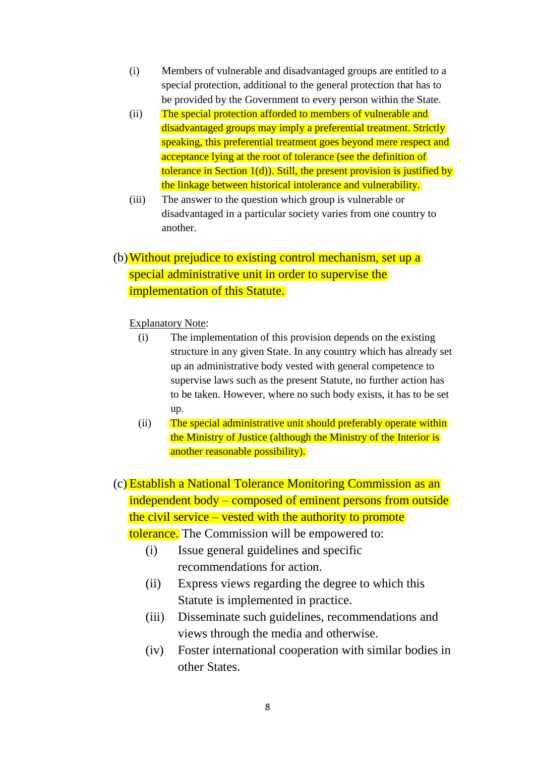- (i) Members of vulnerable and disadvantaged groups are entitled to a special protection, additional to the general protection that has to be provided by the Government to every person within the State.
- (ii) The special protection afforded to members of vulnerable and disadvantaged groups may imply a preferential treatment. Strictly speaking, this preferential treatment goes beyond mere respect and acceptance lying at the root of tolerance (see the definition of tolerance in Section 1(d)). Still, the present provision is justified by the linkage between historical intolerance and vulnerability.
- (iii) The answer to the question which group is vulnerable or disadvantaged in a particular society varies from one country to another.

# (b)Without prejudice to existing control mechanism, set up a special administrative unit in order to supervise the implementation of this Statute.

#### Explanatory Note:

- (i) The implementation of this provision depends on the existing structure in any given State. In any country which has already set up an administrative body vested with general competence to supervise laws such as the present Statute, no further action has to be taken. However, where no such body exists, it has to be set up.
- (ii) The special administrative unit should preferably operate within the Ministry of Justice (although the Ministry of the Interior is another reasonable possibility).

(c) Establish a National Tolerance Monitoring Commission as an independent body – composed of eminent persons from outside the civil service – vested with the authority to promote tolerance. The Commission will be empowered to:

- (i) Issue general guidelines and specific recommendations for action.
- (ii) Express views regarding the degree to which this Statute is implemented in practice.
- (iii) Disseminate such guidelines, recommendations and views through the media and otherwise.
- (iv) Foster international cooperation with similar bodies in other States.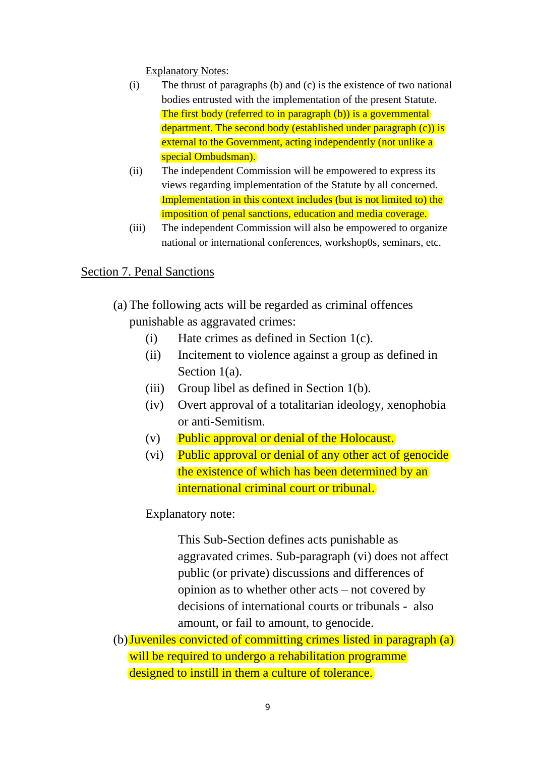Explanatory Notes:

- (i) The thrust of paragraphs (b) and (c) is the existence of two national bodies entrusted with the implementation of the present Statute. The first body (referred to in paragraph (b)) is a governmental department. The second body (established under paragraph (c)) is external to the Government, acting independently (not unlike a) special Ombudsman).
- (ii) The independent Commission will be empowered to express its views regarding implementation of the Statute by all concerned. Implementation in this context includes (but is not limited to) the imposition of penal sanctions, education and media coverage.
- (iii) The independent Commission will also be empowered to organize national or international conferences, workshop0s, seminars, etc.

# Section 7. Penal Sanctions

- (a) The following acts will be regarded as criminal offences punishable as aggravated crimes:
	- (i) Hate crimes as defined in Section 1(c).
	- (ii) Incitement to violence against a group as defined in Section 1(a).
	- (iii) Group libel as defined in Section 1(b).
	- (iv) Overt approval of a totalitarian ideology, xenophobia or anti-Semitism.
	- (v) Public approval or denial of the Holocaust.
	- (vi) Public approval or denial of any other act of genocide the existence of which has been determined by an international criminal court or tribunal.

Explanatory note:

This Sub-Section defines acts punishable as aggravated crimes. Sub-paragraph (vi) does not affect public (or private) discussions and differences of opinion as to whether other acts – not covered by decisions of international courts or tribunals - also amount, or fail to amount, to genocide.

(b)Juveniles convicted of committing crimes listed in paragraph (a) will be required to undergo a rehabilitation programme designed to instill in them a culture of tolerance.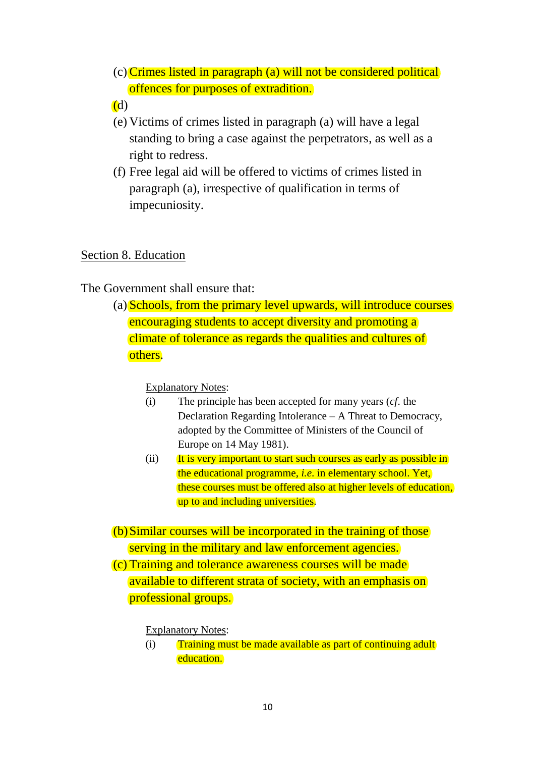- (c) Crimes listed in paragraph (a) will not be considered political offences for purposes of extradition.
- (d)
- (e) Victims of crimes listed in paragraph (a) will have a legal standing to bring a case against the perpetrators, as well as a right to redress.
- (f) Free legal aid will be offered to victims of crimes listed in paragraph (a), irrespective of qualification in terms of impecuniosity.

## Section 8. Education

## The Government shall ensure that:

(a) Schools, from the primary level upwards, will introduce courses encouraging students to accept diversity and promoting a climate of tolerance as regards the qualities and cultures of others.

Explanatory Notes:

- (i) The principle has been accepted for many years (*cf*. the Declaration Regarding Intolerance – A Threat to Democracy, adopted by the Committee of Ministers of the Council of Europe on 14 May 1981).
- (ii) It is very important to start such courses as early as possible in the educational programme, *i.e*. in elementary school. Yet, these courses must be offered also at higher levels of education, up to and including universities.
- (b)Similar courses will be incorporated in the training of those serving in the military and law enforcement agencies.

(c) Training and tolerance awareness courses will be made available to different strata of society, with an emphasis on professional groups.

Explanatory Notes:

(i) Training must be made available as part of continuing adult education.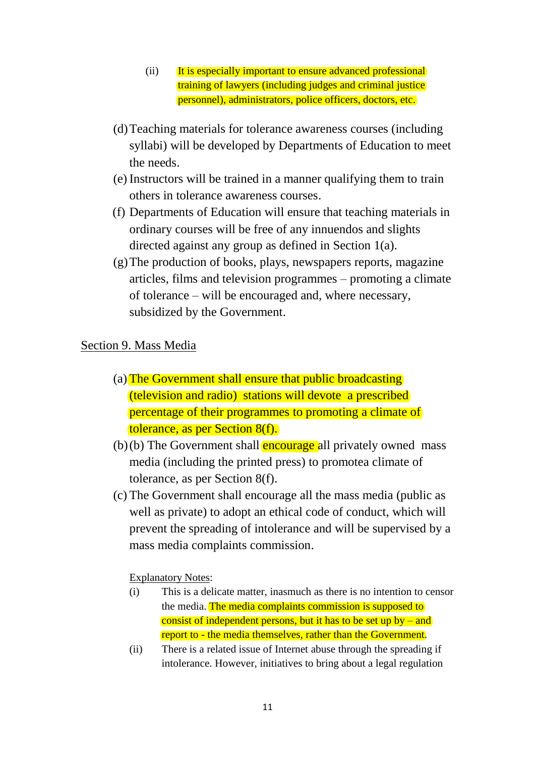- (ii) It is especially important to ensure advanced professional training of lawyers (including judges and criminal justice personnel), administrators, police officers, doctors, etc.
- (d)Teaching materials for tolerance awareness courses (including syllabi) will be developed by Departments of Education to meet the needs.
- (e) Instructors will be trained in a manner qualifying them to train others in tolerance awareness courses.
- (f) Departments of Education will ensure that teaching materials in ordinary courses will be free of any innuendos and slights directed against any group as defined in Section 1(a).
- (g)The production of books, plays, newspapers reports, magazine articles, films and television programmes – promoting a climate of tolerance – will be encouraged and, where necessary, subsidized by the Government.

## Section 9. Mass Media

- (a) The Government shall ensure that public broadcasting (television and radio) stations will devote a prescribed percentage of their programmes to promoting a climate of tolerance, as per Section 8(f).
- $(b)(b)$  The Government shall **encourage** all privately owned mass media (including the printed press) to promotea climate of tolerance, as per Section 8(f).
- (c) The Government shall encourage all the mass media (public as well as private) to adopt an ethical code of conduct, which will prevent the spreading of intolerance and will be supervised by a mass media complaints commission.

#### Explanatory Notes:

- (i) This is a delicate matter, inasmuch as there is no intention to censor the media. The media complaints commission is supposed to consist of independent persons, but it has to be set up  $by - and$ report to - the media themselves, rather than the Government.
- (ii) There is a related issue of Internet abuse through the spreading if intolerance. However, initiatives to bring about a legal regulation